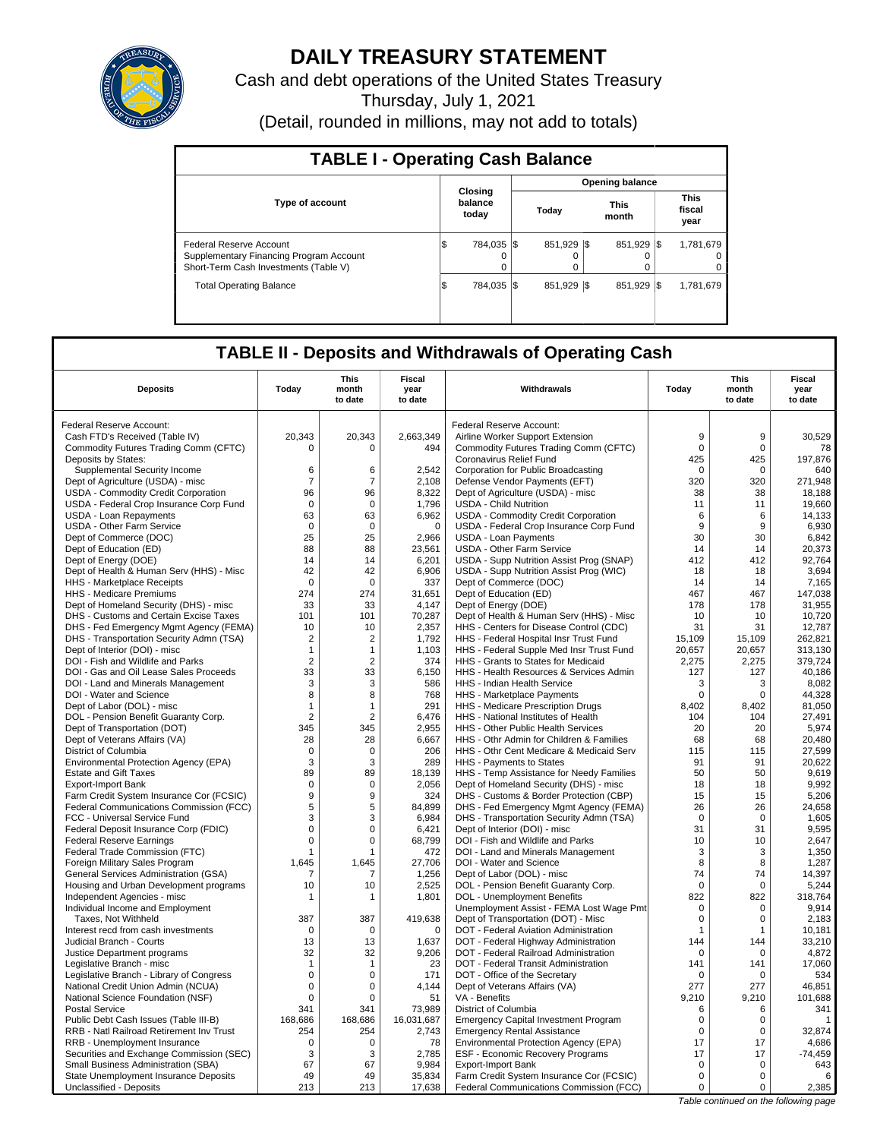

# **DAILY TREASURY STATEMENT**

Cash and debt operations of the United States Treasury

Thursday, July 1, 2021

(Detail, rounded in millions, may not add to totals)

| <b>TABLE I - Operating Cash Balance</b>                                                                     |                              |                        |                      |                               |  |  |  |  |  |
|-------------------------------------------------------------------------------------------------------------|------------------------------|------------------------|----------------------|-------------------------------|--|--|--|--|--|
|                                                                                                             |                              | <b>Opening balance</b> |                      |                               |  |  |  |  |  |
| <b>Type of account</b>                                                                                      | Closing<br>balance<br>today  |                        | <b>This</b><br>month | <b>This</b><br>fiscal<br>year |  |  |  |  |  |
| Federal Reserve Account<br>Supplementary Financing Program Account<br>Short-Term Cash Investments (Table V) | 784.035 \\$<br>S<br>$\Omega$ | 851.929 \\$<br>0<br>0  | 851.929              | 1.781.679<br><b>IS</b>        |  |  |  |  |  |
| <b>Total Operating Balance</b>                                                                              | 784.035 S<br>1\$             | 851.929 \\$            | 851.929              | 1,781,679<br><b>IS</b>        |  |  |  |  |  |

# **TABLE II - Deposits and Withdrawals of Operating Cash**

|                                                              |                | <b>This</b>      | Fiscal          |                                                                  |              | This             | <b>Fiscal</b>   |
|--------------------------------------------------------------|----------------|------------------|-----------------|------------------------------------------------------------------|--------------|------------------|-----------------|
| <b>Deposits</b>                                              | Today          | month<br>to date | year<br>to date | Withdrawals                                                      | Today        | month<br>to date | year<br>to date |
|                                                              |                |                  |                 |                                                                  |              |                  |                 |
| Federal Reserve Account:                                     |                |                  |                 | Federal Reserve Account:                                         |              |                  |                 |
| Cash FTD's Received (Table IV)                               | 20,343         | 20,343           | 2,663,349       | Airline Worker Support Extension                                 | 9            | 9                | 30,529          |
|                                                              | $\Omega$       | $\Omega$         |                 |                                                                  | 0            | $\pmb{0}$        |                 |
| Commodity Futures Trading Comm (CFTC)<br>Deposits by States: |                |                  | 494             | Commodity Futures Trading Comm (CFTC)<br>Coronavirus Relief Fund | 425          | 425              | 78<br>197.876   |
| Supplemental Security Income                                 | 6              | 6                | 2,542           | Corporation for Public Broadcasting                              | $\Omega$     | $\Omega$         | 640             |
|                                                              |                |                  | 2.108           |                                                                  |              |                  | 271.948         |
| Dept of Agriculture (USDA) - misc                            | $\overline{7}$ | 7                |                 | Defense Vendor Payments (EFT)                                    | 320          | 320              |                 |
| USDA - Commodity Credit Corporation                          | 96             | 96               | 8,322           | Dept of Agriculture (USDA) - misc                                | 38           | 38               | 18,188          |
| USDA - Federal Crop Insurance Corp Fund                      | $\Omega$       | $\Omega$         | 1,796           | <b>USDA - Child Nutrition</b>                                    | 11           | 11               | 19,660          |
| <b>USDA - Loan Repayments</b>                                | 63             | 63               | 6,962           | USDA - Commodity Credit Corporation                              | 6            | 6                | 14,133          |
| USDA - Other Farm Service                                    | $\mathbf 0$    | $\mathbf 0$      | $\mathbf 0$     | USDA - Federal Crop Insurance Corp Fund                          | 9            | 9                | 6,930           |
| Dept of Commerce (DOC)                                       | 25             | 25               | 2,966           | <b>USDA - Loan Payments</b>                                      | 30           | 30               | 6,842           |
| Dept of Education (ED)                                       | 88             | 88               | 23,561          | USDA - Other Farm Service                                        | 14           | 14               | 20,373          |
| Dept of Energy (DOE)                                         | 14             | 14               | 6,201           | USDA - Supp Nutrition Assist Prog (SNAP)                         | 412          | 412              | 92,764          |
| Dept of Health & Human Serv (HHS) - Misc                     | 42             | 42               | 6,906           | USDA - Supp Nutrition Assist Prog (WIC)                          | 18           | 18               | 3,694           |
| HHS - Marketplace Receipts                                   | $\mathbf 0$    | $\mathbf 0$      | 337             | Dept of Commerce (DOC)                                           | 14           | 14               | 7,165           |
| <b>HHS - Medicare Premiums</b>                               | 274            | 274              | 31,651          | Dept of Education (ED)                                           | 467          | 467              | 147,038         |
| Dept of Homeland Security (DHS) - misc                       | 33             | 33               | 4,147           | Dept of Energy (DOE)                                             | 178          | 178              | 31,955          |
| DHS - Customs and Certain Excise Taxes                       | 101            | 101              | 70,287          | Dept of Health & Human Serv (HHS) - Misc                         | 10           | 10               | 10,720          |
| DHS - Fed Emergency Mgmt Agency (FEMA)                       | 10             | 10               | 2,357           | HHS - Centers for Disease Control (CDC)                          | 31           | 31               | 12,787          |
| DHS - Transportation Security Admn (TSA)                     | $\overline{2}$ | 2                | 1,792           | HHS - Federal Hospital Insr Trust Fund                           | 15,109       | 15,109           | 262,821         |
| Dept of Interior (DOI) - misc                                | $\mathbf{1}$   | $\mathbf{1}$     | 1,103           | HHS - Federal Supple Med Insr Trust Fund                         | 20,657       | 20,657           | 313.130         |
| DOI - Fish and Wildlife and Parks                            | $\overline{2}$ | $\overline{2}$   | 374             | HHS - Grants to States for Medicaid                              | 2,275        | 2,275            | 379,724         |
| DOI - Gas and Oil Lease Sales Proceeds                       | 33             | 33               | 6,150           | HHS - Health Resources & Services Admin                          | 127          | 127              | 40,186          |
| DOI - Land and Minerals Management                           | 3              | 3                | 586             | <b>HHS - Indian Health Service</b>                               | 3            | 3                | 8,082           |
| DOI - Water and Science                                      | 8              | 8                | 768             | HHS - Marketplace Payments                                       | $\Omega$     | $\Omega$         | 44,328          |
| Dept of Labor (DOL) - misc                                   | 1              | $\overline{1}$   | 291             | HHS - Medicare Prescription Drugs                                | 8.402        | 8.402            | 81.050          |
| DOL - Pension Benefit Guaranty Corp.                         | $\overline{2}$ | $\overline{2}$   | 6,476           | HHS - National Institutes of Health                              | 104          | 104              | 27,491          |
| Dept of Transportation (DOT)                                 | 345            | 345              | 2.955           | <b>HHS - Other Public Health Services</b>                        | 20           | 20               | 5,974           |
| Dept of Veterans Affairs (VA)                                | 28             | 28               | 6,667           | HHS - Othr Admin for Children & Families                         | 68           | 68               | 20,480          |
| District of Columbia                                         | $\Omega$       | $\Omega$         | 206             | HHS - Othr Cent Medicare & Medicaid Serv                         | 115          | 115              | 27,599          |
| Environmental Protection Agency (EPA)                        | 3              | 3                | 289             | HHS - Payments to States                                         | 91           | 91               | 20,622          |
| <b>Estate and Gift Taxes</b>                                 | 89             | 89               | 18,139          | HHS - Temp Assistance for Needy Families                         | 50           | 50               | 9,619           |
| <b>Export-Import Bank</b>                                    | $\mathbf 0$    | $\Omega$         | 2.056           | Dept of Homeland Security (DHS) - misc                           | 18           | 18               | 9.992           |
| Farm Credit System Insurance Cor (FCSIC)                     | 9              | 9                | 324             | DHS - Customs & Border Protection (CBP)                          | 15           | 15               | 5,206           |
| Federal Communications Commission (FCC)                      | 5              | 5                | 84,899          | DHS - Fed Emergency Mgmt Agency (FEMA)                           | 26           | 26               | 24,658          |
| FCC - Universal Service Fund                                 | 3              | 3                | 6,984           | DHS - Transportation Security Admn (TSA)                         | $\pmb{0}$    | $\mathbf 0$      | 1,605           |
| Federal Deposit Insurance Corp (FDIC)                        | $\mathbf 0$    | 0                | 6,421           | Dept of Interior (DOI) - misc                                    | 31           | 31               | 9,595           |
| <b>Federal Reserve Earnings</b>                              | 0              | $\Omega$         | 68,799          | DOI - Fish and Wildlife and Parks                                | 10           | 10               | 2,647           |
| Federal Trade Commission (FTC)                               | 1              |                  | 472             | DOI - Land and Minerals Management                               | 3            | 3                | 1,350           |
| Foreign Military Sales Program                               | 1.645          | 1,645            | 27,706          | DOI - Water and Science                                          | 8            | 8                | 1,287           |
| General Services Administration (GSA)                        | 7              | 7                | 1,256           | Dept of Labor (DOL) - misc                                       | 74           | 74               | 14,397          |
| Housing and Urban Development programs                       | 10             | 10               | 2,525           | DOL - Pension Benefit Guaranty Corp.                             | $\mathbf 0$  | $\mathbf 0$      | 5,244           |
| Independent Agencies - misc                                  | 1              | 1                | 1,801           | <b>DOL</b> - Unemployment Benefits                               | 822          | 822              | 318,764         |
| Individual Income and Employment                             |                |                  |                 | Unemployment Assist - FEMA Lost Wage Pmt                         | $\mathbf 0$  | $\mathbf 0$      | 9.914           |
| Taxes, Not Withheld                                          | 387            | 387              | 419,638         | Dept of Transportation (DOT) - Misc                              | $\Omega$     | $\Omega$         | 2,183           |
| Interest recd from cash investments                          | $\mathbf 0$    | $\Omega$         | $\mathbf 0$     | DOT - Federal Aviation Administration                            | $\mathbf{1}$ | $\mathbf{1}$     | 10.181          |
| Judicial Branch - Courts                                     | 13             | 13               | 1,637           | DOT - Federal Highway Administration                             | 144          | 144              | 33,210          |
| Justice Department programs                                  | 32             | 32               | 9,206           | DOT - Federal Railroad Administration                            | $\Omega$     | $\Omega$         | 4,872           |
| Legislative Branch - misc                                    | $\mathbf{1}$   | $\mathbf{1}$     | 23              | DOT - Federal Transit Administration                             | 141          | 141              | 17,060          |
| Legislative Branch - Library of Congress                     | $\Omega$       | $\Omega$         | 171             | DOT - Office of the Secretary                                    | $\Omega$     | $\Omega$         | 534             |
| National Credit Union Admin (NCUA)                           | 0              | $\mathbf 0$      | 4,144           | Dept of Veterans Affairs (VA)                                    | 277          | 277              | 46,851          |
| National Science Foundation (NSF)                            | $\mathbf 0$    | $\Omega$         | 51              | VA - Benefits                                                    | 9,210        | 9,210            | 101,688         |
| <b>Postal Service</b>                                        | 341            | 341              | 73.989          | District of Columbia                                             | 6            | 6                | 341             |
| Public Debt Cash Issues (Table III-B)                        | 168,686        | 168,686          | 16,031,687      | <b>Emergency Capital Investment Program</b>                      | $\mathsf 0$  | $\pmb{0}$        | $\mathbf{1}$    |
| <b>RRB - Natl Railroad Retirement Inv Trust</b>              | 254            | 254              | 2,743           | <b>Emergency Rental Assistance</b>                               | 0            | $\Omega$         | 32.874          |
| RRB - Unemployment Insurance                                 | $\mathbf 0$    | $\mathbf 0$      | 78              | Environmental Protection Agency (EPA)                            | 17           | 17               | 4,686           |
| Securities and Exchange Commission (SEC)                     | 3              | 3                | 2,785           | ESF - Economic Recovery Programs                                 | 17           | 17               | $-74,459$       |
| Small Business Administration (SBA)                          | 67             | 67               | 9,984           | <b>Export-Import Bank</b>                                        | $\mathbf 0$  | 0                | 643             |
| State Unemployment Insurance Deposits                        | 49             | 49               | 35,834          | Farm Credit System Insurance Cor (FCSIC)                         | $\mathbf 0$  | $\mathbf 0$      | 6               |
| Unclassified - Deposits                                      | 213            | 213              | 17,638          | Federal Communications Commission (FCC)                          | $\mathbf 0$  | 0                | 2,385           |
|                                                              |                |                  |                 |                                                                  |              |                  |                 |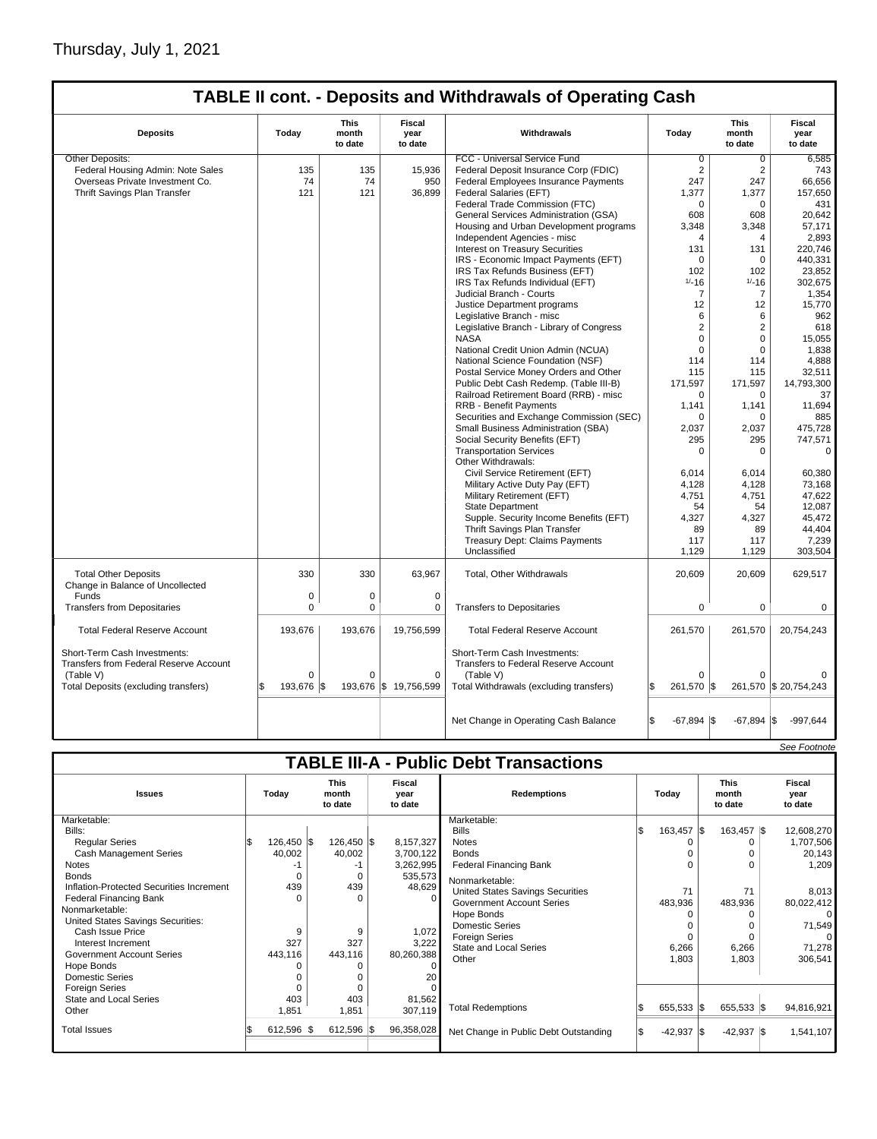# Thursday, July 1, 2021

 $\sqrt{ }$ 

## **TABLE II cont. - Deposits and Withdrawals of Operating Cash**

| <b>Deposits</b>                                                 | Today       | This<br>month<br>to date | Fiscal<br>vear<br>to date | Withdrawals                              | Todav                | <b>This</b><br>month<br>to date | Fiscal<br>vear<br>to date |
|-----------------------------------------------------------------|-------------|--------------------------|---------------------------|------------------------------------------|----------------------|---------------------------------|---------------------------|
| Other Deposits:                                                 |             |                          |                           | FCC - Universal Service Fund             | 0                    | $\Omega$                        | 6.585                     |
| Federal Housing Admin: Note Sales                               | 135         | 135                      | 15,936                    | Federal Deposit Insurance Corp (FDIC)    | $\overline{2}$       | $\overline{2}$                  | 743                       |
| Overseas Private Investment Co.                                 | 74          | 74                       | 950                       | Federal Employees Insurance Payments     | 247                  | 247                             | 66,656                    |
| Thrift Savings Plan Transfer                                    | 121         | 121                      | 36,899                    | Federal Salaries (EFT)                   | 1,377                | 1,377                           | 157.650                   |
|                                                                 |             |                          |                           | Federal Trade Commission (FTC)           | 0                    | $\mathbf 0$                     | 431                       |
|                                                                 |             |                          |                           | General Services Administration (GSA)    | 608                  | 608                             | 20.642                    |
|                                                                 |             |                          |                           | Housing and Urban Development programs   | 3,348                | 3,348                           | 57,171                    |
|                                                                 |             |                          |                           |                                          | 4                    | 4                               |                           |
|                                                                 |             |                          |                           | Independent Agencies - misc              |                      |                                 | 2,893                     |
|                                                                 |             |                          |                           | <b>Interest on Treasury Securities</b>   | 131                  | 131                             | 220.746                   |
|                                                                 |             |                          |                           | IRS - Economic Impact Payments (EFT)     | 0                    | $\mathbf 0$                     | 440,331                   |
|                                                                 |             |                          |                           | IRS Tax Refunds Business (EFT)           | 102                  | 102                             | 23,852                    |
|                                                                 |             |                          |                           | IRS Tax Refunds Individual (EFT)         | $1/-16$              | $1/ - 16$                       | 302,675                   |
|                                                                 |             |                          |                           | Judicial Branch - Courts                 | $\overline{7}$       | $\overline{7}$                  | 1,354                     |
|                                                                 |             |                          |                           | Justice Department programs              | 12                   | 12                              | 15,770                    |
|                                                                 |             |                          |                           | Legislative Branch - misc                | 6                    | 6                               | 962                       |
|                                                                 |             |                          |                           | Legislative Branch - Library of Congress | 2                    | $\overline{2}$                  | 618                       |
|                                                                 |             |                          |                           | <b>NASA</b>                              | $\mathbf 0$          | $\mathbf 0$                     | 15,055                    |
|                                                                 |             |                          |                           | National Credit Union Admin (NCUA)       | $\mathbf 0$          | $\mathbf 0$                     | 1,838                     |
|                                                                 |             |                          |                           | National Science Foundation (NSF)        | 114                  | 114                             | 4,888                     |
|                                                                 |             |                          |                           | Postal Service Money Orders and Other    | 115                  | 115                             | 32,511                    |
|                                                                 |             |                          |                           | Public Debt Cash Redemp. (Table III-B)   | 171,597              | 171,597                         | 14,793,300                |
|                                                                 |             |                          |                           | Railroad Retirement Board (RRB) - misc   | $\Omega$             | $\Omega$                        | 37                        |
|                                                                 |             |                          |                           | <b>RRB - Benefit Payments</b>            | 1,141                | 1,141                           | 11,694                    |
|                                                                 |             |                          |                           |                                          |                      |                                 |                           |
|                                                                 |             |                          |                           | Securities and Exchange Commission (SEC) | $\Omega$             | $\Omega$                        | 885                       |
|                                                                 |             |                          |                           | Small Business Administration (SBA)      | 2,037                | 2,037                           | 475,728                   |
|                                                                 |             |                          |                           | Social Security Benefits (EFT)           | 295                  | 295                             | 747,571                   |
|                                                                 |             |                          |                           | <b>Transportation Services</b>           | 0                    | $\Omega$                        | $\Omega$                  |
|                                                                 |             |                          |                           | Other Withdrawals:                       |                      |                                 |                           |
|                                                                 |             |                          |                           | Civil Service Retirement (EFT)           | 6,014                | 6,014                           | 60,380                    |
|                                                                 |             |                          |                           | Military Active Duty Pay (EFT)           | 4,128                | 4,128                           | 73,168                    |
|                                                                 |             |                          |                           | Military Retirement (EFT)                | 4,751                | 4,751                           | 47,622                    |
|                                                                 |             |                          |                           | <b>State Department</b>                  | 54                   | 54                              | 12,087                    |
|                                                                 |             |                          |                           | Supple. Security Income Benefits (EFT)   | 4,327                | 4,327                           | 45,472                    |
|                                                                 |             |                          |                           | Thrift Savings Plan Transfer             | 89                   | 89                              | 44,404                    |
|                                                                 |             |                          |                           | <b>Treasury Dept: Claims Payments</b>    | 117                  | 117                             | 7,239                     |
|                                                                 |             |                          |                           | Unclassified                             | 1,129                | 1,129                           | 303,504                   |
|                                                                 |             |                          |                           |                                          |                      |                                 |                           |
| <b>Total Other Deposits</b><br>Change in Balance of Uncollected | 330         | 330                      | 63,967                    | Total, Other Withdrawals                 | 20,609               | 20,609                          | 629,517                   |
| Funds                                                           | 0           | 0                        | $\mathbf 0$               |                                          |                      |                                 |                           |
| <b>Transfers from Depositaries</b>                              | $\mathbf 0$ | $\mathbf 0$              | 0                         | <b>Transfers to Depositaries</b>         | 0                    | $\mathbf 0$                     | $\mathbf 0$               |
|                                                                 |             |                          |                           |                                          |                      |                                 |                           |
| <b>Total Federal Reserve Account</b>                            | 193,676     | 193,676                  | 19,756,599                | <b>Total Federal Reserve Account</b>     | 261,570              | 261,570                         | 20,754,243                |
| Short-Term Cash Investments:                                    |             |                          |                           | Short-Term Cash Investments:             |                      |                                 |                           |
| Transfers from Federal Reserve Account                          |             |                          |                           | Transfers to Federal Reserve Account     |                      |                                 |                           |
| (Table V)                                                       | $\mathbf 0$ | $\Omega$                 | $\mathbf 0$               | (Table V)                                | $\Omega$             | $\Omega$                        |                           |
| Total Deposits (excluding transfers)                            | 193,676 \$  |                          | 193,676 \$19,756,599      | Total Withdrawals (excluding transfers)  | 261,570 \$<br>l\$    |                                 | 261,570 \$ 20,754,243     |
|                                                                 |             |                          |                           |                                          |                      |                                 |                           |
|                                                                 |             |                          |                           | Net Change in Operating Cash Balance     | l\$<br>$-67,894$ \\$ | $-67,894$ \$                    | $-997,644$                |
|                                                                 |             |                          |                           |                                          |                      |                                 |                           |

# **TABLE III-A - Public Debt Transactions**

See Footnote

| <b>Issues</b>                            | Today      | <b>This</b><br>month<br>to date | <b>Fiscal</b><br>year<br>to date | <b>Redemptions</b>                    |  |               |  | Today                   |            | <b>This</b><br>month<br>to date | <b>Fiscal</b><br>year<br>to date |
|------------------------------------------|------------|---------------------------------|----------------------------------|---------------------------------------|--|---------------|--|-------------------------|------------|---------------------------------|----------------------------------|
| Marketable:                              |            |                                 |                                  | Marketable:                           |  |               |  |                         |            |                                 |                                  |
| Bills:                                   |            |                                 |                                  | <b>Bills</b>                          |  | 163,457 \$    |  | 163,457 \$              | 12,608,270 |                                 |                                  |
| <b>Regular Series</b>                    | 126,450 \$ | 126,450 \$                      | 8,157,327                        | <b>Notes</b>                          |  |               |  |                         | 1,707,506  |                                 |                                  |
| <b>Cash Management Series</b>            | 40,002     | 40,002                          | 3,700,122                        | <b>Bonds</b>                          |  |               |  |                         | 20,143     |                                 |                                  |
| Notes                                    |            | -1                              | 3,262,995                        | <b>Federal Financing Bank</b>         |  |               |  |                         | 1,209      |                                 |                                  |
| <b>Bonds</b>                             |            | $\Omega$                        | 535,573                          | Nonmarketable:                        |  |               |  |                         |            |                                 |                                  |
| Inflation-Protected Securities Increment | 439        | 439                             | 48,629                           | United States Savings Securities      |  | 71            |  | 71                      | 8,013      |                                 |                                  |
| <b>Federal Financing Bank</b>            |            | $\Omega$                        |                                  | Government Account Series             |  | 483,936       |  | 483,936                 | 80,022,412 |                                 |                                  |
| Nonmarketable:                           |            |                                 |                                  | Hope Bonds                            |  |               |  |                         |            |                                 |                                  |
| United States Savings Securities:        |            |                                 |                                  | Domestic Series                       |  |               |  |                         | 71,549     |                                 |                                  |
| Cash Issue Price                         | 9          | 9                               | 1,072                            | <b>Foreign Series</b>                 |  |               |  |                         |            |                                 |                                  |
| Interest Increment                       | 327        | 327                             | 3,222                            | State and Local Series                |  | 6,266         |  | 6,266                   | 71,278     |                                 |                                  |
| <b>Government Account Series</b>         | 443,116    | 443,116                         | 80,260,388                       | Other                                 |  | 1,803         |  | 1,803                   | 306,541    |                                 |                                  |
| Hope Bonds                               |            | 0                               |                                  |                                       |  |               |  |                         |            |                                 |                                  |
| <b>Domestic Series</b>                   |            |                                 | 20                               |                                       |  |               |  |                         |            |                                 |                                  |
| <b>Foreign Series</b>                    |            |                                 |                                  |                                       |  |               |  |                         |            |                                 |                                  |
| State and Local Series                   | 403        | 403                             | 81,562                           |                                       |  |               |  |                         |            |                                 |                                  |
| Other                                    | 1,851      | 1,851                           | 307,119                          | <b>Total Redemptions</b>              |  | 655,533 \$    |  | $655,533$ $\frac{1}{3}$ | 94,816,921 |                                 |                                  |
| <b>Total Issues</b>                      | 612,596 \$ | $612,596$ \$                    | 96,358,028                       | Net Change in Public Debt Outstanding |  | $-42,937$ \\$ |  | $-42,937$ \$            | 1,541,107  |                                 |                                  |
|                                          |            |                                 |                                  |                                       |  |               |  |                         |            |                                 |                                  |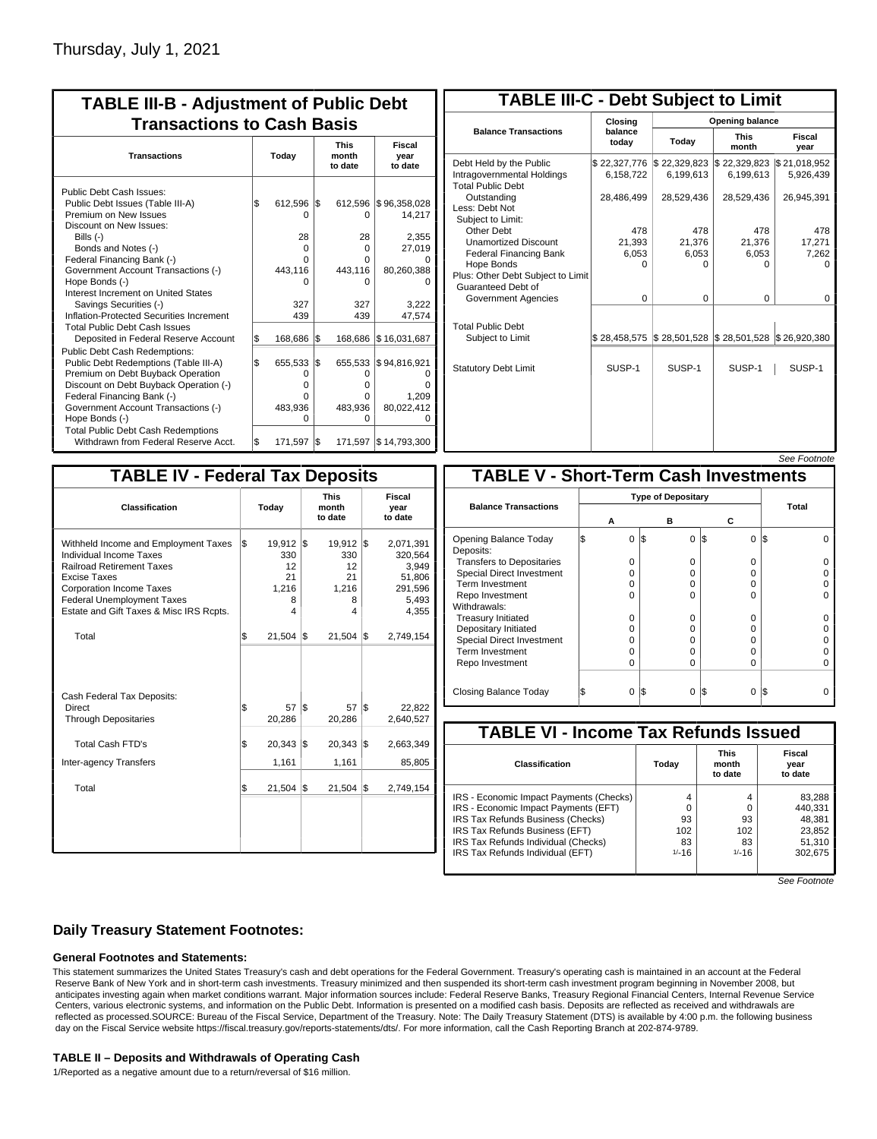| <b>TABLE III-B - Adjustment of Public Debt</b><br><b>Transactions to Cash Basis</b> |     |          |     |                                 |                           |  |  |  |  |
|-------------------------------------------------------------------------------------|-----|----------|-----|---------------------------------|---------------------------|--|--|--|--|
| <b>Transactions</b>                                                                 |     | Today    |     | <b>This</b><br>month<br>to date | Fiscal<br>year<br>to date |  |  |  |  |
| Public Debt Cash Issues:                                                            |     |          |     |                                 |                           |  |  |  |  |
| Public Debt Issues (Table III-A)                                                    | 1\$ | 612,596  | l\$ | 612,596                         | \$96,358,028              |  |  |  |  |
| Premium on New Issues                                                               |     | n        |     | 0                               | 14,217                    |  |  |  |  |
| Discount on New Issues:                                                             |     |          |     |                                 |                           |  |  |  |  |
| Bills (-)                                                                           |     | 28       |     | 28                              | 2,355                     |  |  |  |  |
| Bonds and Notes (-)                                                                 |     | $\Omega$ |     | $\Omega$                        | 27,019                    |  |  |  |  |
| Federal Financing Bank (-)                                                          |     | O        |     | O                               |                           |  |  |  |  |
| Government Account Transactions (-)                                                 |     | 443,116  |     | 443,116                         | 80,260,388                |  |  |  |  |
| Hope Bonds (-)                                                                      |     | U        |     | o                               |                           |  |  |  |  |
| Interest Increment on United States                                                 |     |          |     |                                 |                           |  |  |  |  |
| Savings Securities (-)                                                              |     | 327      |     | 327                             | 3,222                     |  |  |  |  |
| Inflation-Protected Securities Increment                                            |     | 439      |     | 439                             | 47,574                    |  |  |  |  |
| <b>Total Public Debt Cash Issues</b>                                                |     |          |     |                                 |                           |  |  |  |  |
| Deposited in Federal Reserve Account                                                | \$  | 168,686  | 1\$ | 168,686                         | \$16,031,687              |  |  |  |  |
| Public Debt Cash Redemptions:                                                       |     |          |     |                                 |                           |  |  |  |  |
| Public Debt Redemptions (Table III-A)                                               | \$  | 655,533  | l\$ | 655,533                         | \$94,816,921              |  |  |  |  |
| Premium on Debt Buyback Operation                                                   |     | 0        |     | o                               | O                         |  |  |  |  |
| Discount on Debt Buyback Operation (-)                                              |     | $\Omega$ |     | U                               | ŋ                         |  |  |  |  |
| Federal Financing Bank (-)                                                          |     | O        |     | o                               | 1,209                     |  |  |  |  |
| Government Account Transactions (-)                                                 |     | 483,936  |     | 483,936                         | 80,022,412                |  |  |  |  |
| Hope Bonds (-)                                                                      |     | U        |     | O                               | ŋ                         |  |  |  |  |
| <b>Total Public Debt Cash Redemptions</b>                                           |     |          |     |                                 |                           |  |  |  |  |
| Withdrawn from Federal Reserve Acct.                                                | l\$ | 171,597  | l\$ |                                 | 171,597   \$14,793,300    |  |  |  |  |

| <b>TABLE III-C - Debt Subject to Limit</b>                                        |                           |                                                   |                           |                           |  |  |  |  |  |
|-----------------------------------------------------------------------------------|---------------------------|---------------------------------------------------|---------------------------|---------------------------|--|--|--|--|--|
|                                                                                   | Closing                   |                                                   | <b>Opening balance</b>    |                           |  |  |  |  |  |
| <b>Balance Transactions</b>                                                       | balance<br>todav          | Today                                             | <b>This</b><br>month      | Fiscal<br>year            |  |  |  |  |  |
| Debt Held by the Public<br>Intragovernmental Holdings<br><b>Total Public Debt</b> | \$22,327,776<br>6,158,722 | \$22,329,823<br>6,199,613                         | \$22,329,823<br>6,199,613 | \$21,018,952<br>5,926,439 |  |  |  |  |  |
| Outstanding<br>Less: Debt Not<br>Subiect to Limit:                                | 28,486,499                | 28,529,436                                        | 28,529,436                | 26,945,391                |  |  |  |  |  |
| Other Debt                                                                        | 478                       | 478                                               | 478                       | 478                       |  |  |  |  |  |
| <b>Unamortized Discount</b>                                                       | 21,393                    | 21.376                                            | 21,376                    | 17,271                    |  |  |  |  |  |
| <b>Federal Financing Bank</b>                                                     | 6,053                     | 6,053                                             | 6,053                     | 7,262                     |  |  |  |  |  |
| Hope Bonds<br>Plus: Other Debt Subject to Limit<br>Guaranteed Debt of             | $\Omega$                  | O                                                 | O                         | n                         |  |  |  |  |  |
| Government Agencies                                                               | $\Omega$                  | $\Omega$                                          | 0                         | $\Omega$                  |  |  |  |  |  |
| <b>Total Public Debt</b><br>Subject to Limit                                      | \$28,458,575              | $\frac{1}{2}$ 28,501,528 $\frac{1}{2}$ 28,501,528 |                           | \$26,920,380              |  |  |  |  |  |
| <b>Statutory Debt Limit</b>                                                       | SUSP-1                    | SUSP-1                                            | SUSP-1                    | SUSP-1                    |  |  |  |  |  |
|                                                                                   |                           |                                                   |                           |                           |  |  |  |  |  |

|--|

| <b>TABLE IV - Federal Tax Deposits</b>                                                                                                                                                                                                 |     |                                                   |     |                                                           |     |                                                                      |
|----------------------------------------------------------------------------------------------------------------------------------------------------------------------------------------------------------------------------------------|-----|---------------------------------------------------|-----|-----------------------------------------------------------|-----|----------------------------------------------------------------------|
| Classification                                                                                                                                                                                                                         |     | Today                                             |     | <b>This</b><br>month<br>to date                           |     | Fiscal<br>year<br>to date                                            |
| Withheld Income and Employment Taxes<br>Individual Income Taxes<br><b>Railroad Retirement Taxes</b><br>Excise Taxes<br><b>Corporation Income Taxes</b><br><b>Federal Unemployment Taxes</b><br>Estate and Gift Taxes & Misc IRS Rcpts. | l\$ | $19,912$ \$<br>330<br>12<br>21<br>1,216<br>8<br>4 |     | $19,912$ $\sqrt{5}$<br>330<br>12<br>21<br>1,216<br>8<br>4 |     | 2,071,391<br>320,564<br>3,949<br>51,806<br>291,596<br>5,493<br>4,355 |
| Total                                                                                                                                                                                                                                  | \$  | 21,504                                            | 1\$ | 21,504                                                    | l\$ | 2,749,154                                                            |
| Cash Federal Tax Deposits:<br>Direct<br><b>Through Depositaries</b>                                                                                                                                                                    | \$  | 57<br>20,286                                      | l\$ | 57<br>20,286                                              | l\$ | 22,822<br>2,640,527                                                  |
| <b>Total Cash FTD's</b>                                                                                                                                                                                                                | \$  | $20,343$ $\frac{1}{9}$                            |     | $20,343$ $\frac{1}{9}$                                    |     | 2,663,349                                                            |
| Inter-agency Transfers                                                                                                                                                                                                                 |     | 1,161                                             |     | 1,161                                                     |     | 85,805                                                               |
| Total                                                                                                                                                                                                                                  | \$  | 21,504                                            | 1\$ | $21,504$ \$                                               |     | 2,749,154                                                            |

|                                              |   |          |     |          |          |     | <i><b>JEE FUULIUIE</b></i> |  |
|----------------------------------------------|---|----------|-----|----------|----------|-----|----------------------------|--|
| <b>TABLE V - Short-Term Cash Investments</b> |   |          |     |          |          |     |                            |  |
| <b>Type of Depositary</b>                    |   |          |     |          |          |     |                            |  |
| <b>Balance Transactions</b>                  |   | А        |     | в        | с        |     | <b>Total</b>               |  |
| Opening Balance Today<br>Deposits:           | S | $\Omega$ | 1\$ | 0        | l\$<br>0 | IS. |                            |  |
| <b>Transfers to Depositaries</b>             |   | O        |     | 0        | 0        |     |                            |  |
| <b>Special Direct Investment</b>             |   | O        |     | 0        | 0        |     |                            |  |
| Term Investment                              |   | O        |     | 0        | 0        |     |                            |  |
| Repo Investment                              |   | O        |     | $\Omega$ | 0        |     |                            |  |
| Withdrawals:                                 |   |          |     |          |          |     |                            |  |
| <b>Treasury Initiated</b>                    |   | 0        |     | $\Omega$ | 0        |     |                            |  |
| Depositary Initiated                         |   | O        |     | $\Omega$ | 0        |     |                            |  |
| <b>Special Direct Investment</b>             |   | O        |     | ŋ        | 0        |     |                            |  |
| <b>Term Investment</b>                       |   | O        |     | $\Omega$ | 0        |     |                            |  |
| Repo Investment                              |   | 0        |     | $\Omega$ | 0        |     |                            |  |
| Closing Balance Today                        |   | 0        | I\$ | $\Omega$ | I\$<br>0 | IS  |                            |  |

| <b>TABLE VI - Income Tax Refunds Issued</b> |         |                                 |                           |  |  |  |  |  |  |  |
|---------------------------------------------|---------|---------------------------------|---------------------------|--|--|--|--|--|--|--|
| <b>Classification</b>                       | Todav   | <b>This</b><br>month<br>to date | Fiscal<br>year<br>to date |  |  |  |  |  |  |  |
| IRS - Economic Impact Payments (Checks)     | 4       | 4                               | 83,288                    |  |  |  |  |  |  |  |
| IRS - Economic Impact Payments (EFT)        | 0       |                                 | 440,331                   |  |  |  |  |  |  |  |
| IRS Tax Refunds Business (Checks)           | 93      | 93                              | 48,381                    |  |  |  |  |  |  |  |
| IRS Tax Refunds Business (EFT)              | 102     | 102                             | 23,852                    |  |  |  |  |  |  |  |
| IRS Tax Refunds Individual (Checks)         | 83      | 83                              | 51,310                    |  |  |  |  |  |  |  |
| IRS Tax Refunds Individual (EFT)            | $1/-16$ | $1/-16$                         | 302,675                   |  |  |  |  |  |  |  |

See Footnote

### **Daily Treasury Statement Footnotes:**

#### **General Footnotes and Statements:**

This statement summarizes the United States Treasury's cash and debt operations for the Federal Government. Treasury's operating cash is maintained in an account at the Federal Reserve Bank of New York and in short-term cash investments. Treasury minimized and then suspended its short-term cash investment program beginning in November 2008, but anticipates investing again when market conditions warrant. Major information sources include: Federal Reserve Banks, Treasury Regional Financial Centers, Internal Revenue Service Centers, various electronic systems, and information on the Public Debt. Information is presented on a modified cash basis. Deposits are reflected as received and withdrawals are reflected as processed.SOURCE: Bureau of the Fiscal Service, Department of the Treasury. Note: The Daily Treasury Statement (DTS) is available by 4:00 p.m. the following business day on the Fiscal Service website https://fiscal.treasury.gov/reports-statements/dts/. For more information, call the Cash Reporting Branch at 202-874-9789.

#### **TABLE II – Deposits and Withdrawals of Operating Cash**

1/Reported as a negative amount due to a return/reversal of \$16 million.